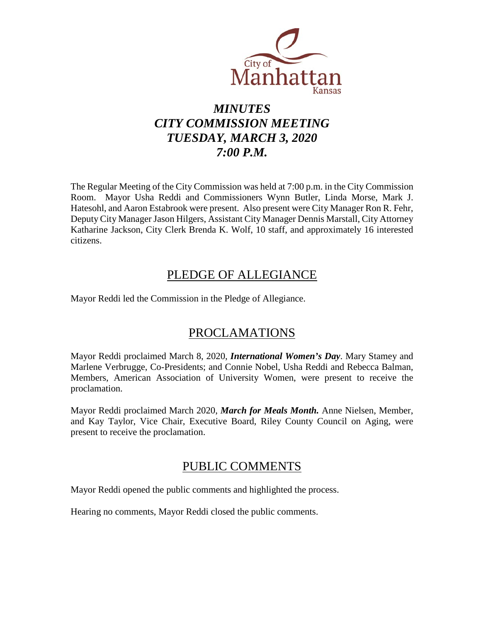

# *MINUTES CITY COMMISSION MEETING TUESDAY, MARCH 3, 2020 7:00 P.M.*

The Regular Meeting of the City Commission was held at 7:00 p.m. in the City Commission Room. Mayor Usha Reddi and Commissioners Wynn Butler, Linda Morse, Mark J. Hatesohl, and Aaron Estabrook were present. Also present were City Manager Ron R. Fehr, Deputy City Manager Jason Hilgers, Assistant City Manager Dennis Marstall, City Attorney Katharine Jackson, City Clerk Brenda K. Wolf, 10 staff, and approximately 16 interested citizens.

# PLEDGE OF ALLEGIANCE

Mayor Reddi led the Commission in the Pledge of Allegiance.

# PROCLAMATIONS

Mayor Reddi proclaimed March 8, 2020, *International Women's Day*. Mary Stamey and Marlene Verbrugge, Co-Presidents; and Connie Nobel, Usha Reddi and Rebecca Balman, Members, American Association of University Women, were present to receive the proclamation.

Mayor Reddi proclaimed March 2020, *March for Meals Month.* Anne Nielsen, Member, and Kay Taylor, Vice Chair, Executive Board, Riley County Council on Aging, were present to receive the proclamation.

## PUBLIC COMMENTS

Mayor Reddi opened the public comments and highlighted the process.

Hearing no comments, Mayor Reddi closed the public comments.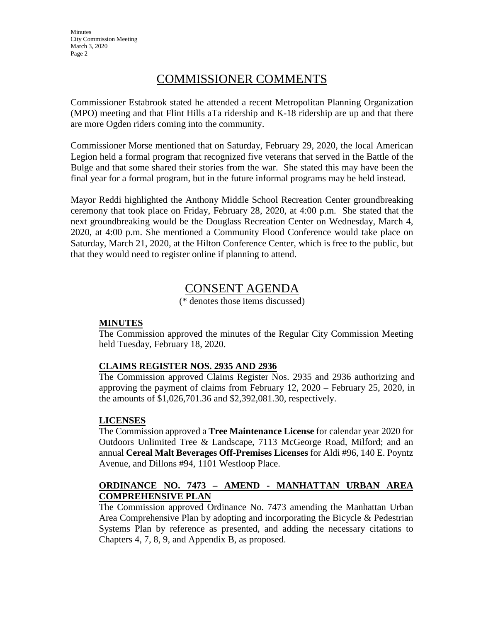**Minutes** City Commission Meeting March 3, 2020 Page 2

## COMMISSIONER COMMENTS

Commissioner Estabrook stated he attended a recent Metropolitan Planning Organization (MPO) meeting and that Flint Hills aTa ridership and K-18 ridership are up and that there are more Ogden riders coming into the community.

Commissioner Morse mentioned that on Saturday, February 29, 2020, the local American Legion held a formal program that recognized five veterans that served in the Battle of the Bulge and that some shared their stories from the war. She stated this may have been the final year for a formal program, but in the future informal programs may be held instead.

Mayor Reddi highlighted the Anthony Middle School Recreation Center groundbreaking ceremony that took place on Friday, February 28, 2020, at 4:00 p.m. She stated that the next groundbreaking would be the Douglass Recreation Center on Wednesday, March 4, 2020, at 4:00 p.m. She mentioned a Community Flood Conference would take place on Saturday, March 21, 2020, at the Hilton Conference Center, which is free to the public, but that they would need to register online if planning to attend.

## CONSENT AGENDA

(\* denotes those items discussed)

#### **MINUTES**

The Commission approved the minutes of the Regular City Commission Meeting held Tuesday, February 18, 2020.

#### **CLAIMS REGISTER NOS. 2935 AND 2936**

The Commission approved Claims Register Nos. 2935 and 2936 authorizing and approving the payment of claims from February 12, 2020 – February 25, 2020, in the amounts of \$1,026,701.36 and \$2,392,081.30, respectively.

#### **LICENSES**

The Commission approved a **Tree Maintenance License** for calendar year 2020 for Outdoors Unlimited Tree & Landscape, 7113 McGeorge Road, Milford; and an annual **Cereal Malt Beverages Off-Premises Licenses** for Aldi #96, 140 E. Poyntz Avenue, and Dillons #94, 1101 Westloop Place.

### **ORDINANCE NO. 7473 – AMEND - MANHATTAN URBAN AREA COMPREHENSIVE PLAN**

The Commission approved Ordinance No. 7473 amending the Manhattan Urban Area Comprehensive Plan by adopting and incorporating the Bicycle & Pedestrian Systems Plan by reference as presented, and adding the necessary citations to Chapters 4, 7, 8, 9, and Appendix B, as proposed.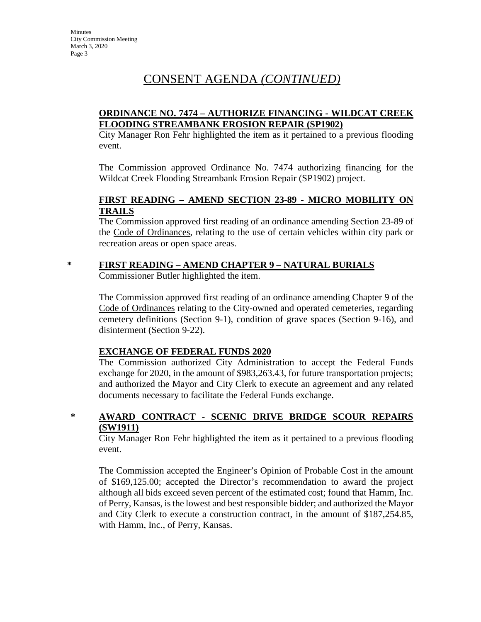# CONSENT AGENDA *(CONTINUED)*

#### **ORDINANCE NO. 7474 – AUTHORIZE FINANCING - WILDCAT CREEK FLOODING STREAMBANK EROSION REPAIR (SP1902)**

City Manager Ron Fehr highlighted the item as it pertained to a previous flooding event.

The Commission approved Ordinance No. 7474 authorizing financing for the Wildcat Creek Flooding Streambank Erosion Repair (SP1902) project.

#### **FIRST READING – AMEND SECTION 23-89 - MICRO MOBILITY ON TRAILS**

The Commission approved first reading of an ordinance amending Section 23-89 of the Code of Ordinances, relating to the use of certain vehicles within city park or recreation areas or open space areas.

#### **\* FIRST READING – AMEND CHAPTER 9 – NATURAL BURIALS**

Commissioner Butler highlighted the item.

The Commission approved first reading of an ordinance amending Chapter 9 of the Code of Ordinances relating to the City-owned and operated cemeteries, regarding cemetery definitions (Section 9-1), condition of grave spaces (Section 9-16), and disinterment (Section 9-22).

#### **EXCHANGE OF FEDERAL FUNDS 2020**

The Commission authorized City Administration to accept the Federal Funds exchange for 2020, in the amount of \$983,263.43, for future transportation projects; and authorized the Mayor and City Clerk to execute an agreement and any related documents necessary to facilitate the Federal Funds exchange.

### **\* AWARD CONTRACT - SCENIC DRIVE BRIDGE SCOUR REPAIRS (SW1911)**

City Manager Ron Fehr highlighted the item as it pertained to a previous flooding event.

The Commission accepted the Engineer's Opinion of Probable Cost in the amount of \$169,125.00; accepted the Director's recommendation to award the project although all bids exceed seven percent of the estimated cost; found that Hamm, Inc. of Perry, Kansas, is the lowest and best responsible bidder; and authorized the Mayor and City Clerk to execute a construction contract, in the amount of \$187,254.85, with Hamm, Inc., of Perry, Kansas.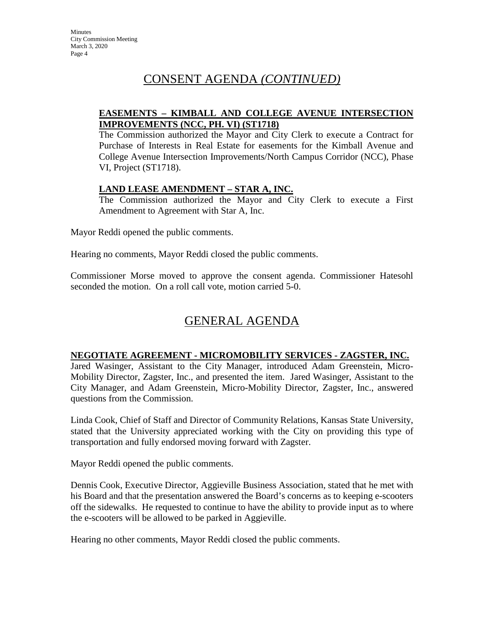# CONSENT AGENDA *(CONTINUED)*

#### **EASEMENTS – KIMBALL AND COLLEGE AVENUE INTERSECTION IMPROVEMENTS (NCC, PH. VI) (ST1718)**

The Commission authorized the Mayor and City Clerk to execute a Contract for Purchase of Interests in Real Estate for easements for the Kimball Avenue and College Avenue Intersection Improvements/North Campus Corridor (NCC), Phase VI, Project (ST1718).

#### **LAND LEASE AMENDMENT – STAR A, INC.**

The Commission authorized the Mayor and City Clerk to execute a First Amendment to Agreement with Star A, Inc.

Mayor Reddi opened the public comments.

Hearing no comments, Mayor Reddi closed the public comments.

Commissioner Morse moved to approve the consent agenda. Commissioner Hatesohl seconded the motion. On a roll call vote, motion carried 5-0.

# GENERAL AGENDA

#### **NEGOTIATE AGREEMENT - MICROMOBILITY SERVICES - ZAGSTER, INC.**

Jared Wasinger, Assistant to the City Manager, introduced Adam Greenstein, Micro-Mobility Director, Zagster, Inc., and presented the item. Jared Wasinger, Assistant to the City Manager, and Adam Greenstein, Micro-Mobility Director, Zagster, Inc., answered questions from the Commission.

Linda Cook, Chief of Staff and Director of Community Relations, Kansas State University, stated that the University appreciated working with the City on providing this type of transportation and fully endorsed moving forward with Zagster.

Mayor Reddi opened the public comments.

Dennis Cook, Executive Director, Aggieville Business Association, stated that he met with his Board and that the presentation answered the Board's concerns as to keeping e-scooters off the sidewalks. He requested to continue to have the ability to provide input as to where the e-scooters will be allowed to be parked in Aggieville.

Hearing no other comments, Mayor Reddi closed the public comments.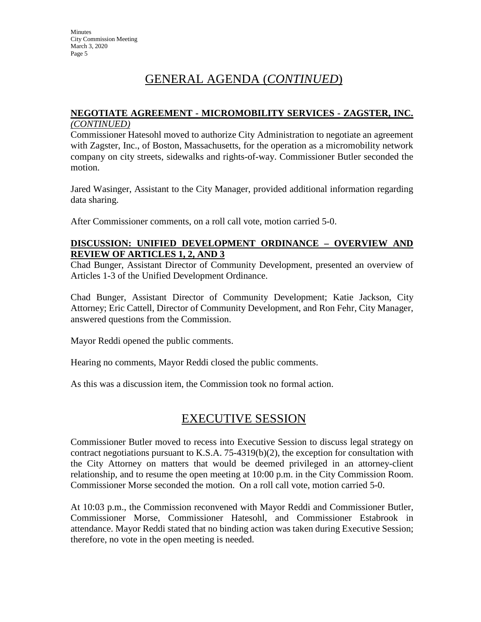# GENERAL AGENDA (*CONTINUED*)

#### **NEGOTIATE AGREEMENT - MICROMOBILITY SERVICES - ZAGSTER, INC.**  *(CONTINUED)*

Commissioner Hatesohl moved to authorize City Administration to negotiate an agreement with Zagster, Inc., of Boston, Massachusetts, for the operation as a micromobility network company on city streets, sidewalks and rights-of-way. Commissioner Butler seconded the motion.

Jared Wasinger, Assistant to the City Manager, provided additional information regarding data sharing.

After Commissioner comments, on a roll call vote, motion carried 5-0.

#### **DISCUSSION: UNIFIED DEVELOPMENT ORDINANCE – OVERVIEW AND REVIEW OF ARTICLES 1, 2, AND 3**

Chad Bunger, Assistant Director of Community Development, presented an overview of Articles 1-3 of the Unified Development Ordinance.

Chad Bunger, Assistant Director of Community Development; Katie Jackson, City Attorney; Eric Cattell, Director of Community Development, and Ron Fehr, City Manager, answered questions from the Commission.

Mayor Reddi opened the public comments.

Hearing no comments, Mayor Reddi closed the public comments.

As this was a discussion item, the Commission took no formal action.

## EXECUTIVE SESSION

Commissioner Butler moved to recess into Executive Session to discuss legal strategy on contract negotiations pursuant to K.S.A. 75-4319(b)(2), the exception for consultation with the City Attorney on matters that would be deemed privileged in an attorney-client relationship, and to resume the open meeting at 10:00 p.m. in the City Commission Room. Commissioner Morse seconded the motion. On a roll call vote, motion carried 5-0.

At 10:03 p.m., the Commission reconvened with Mayor Reddi and Commissioner Butler, Commissioner Morse, Commissioner Hatesohl, and Commissioner Estabrook in attendance. Mayor Reddi stated that no binding action was taken during Executive Session; therefore, no vote in the open meeting is needed.